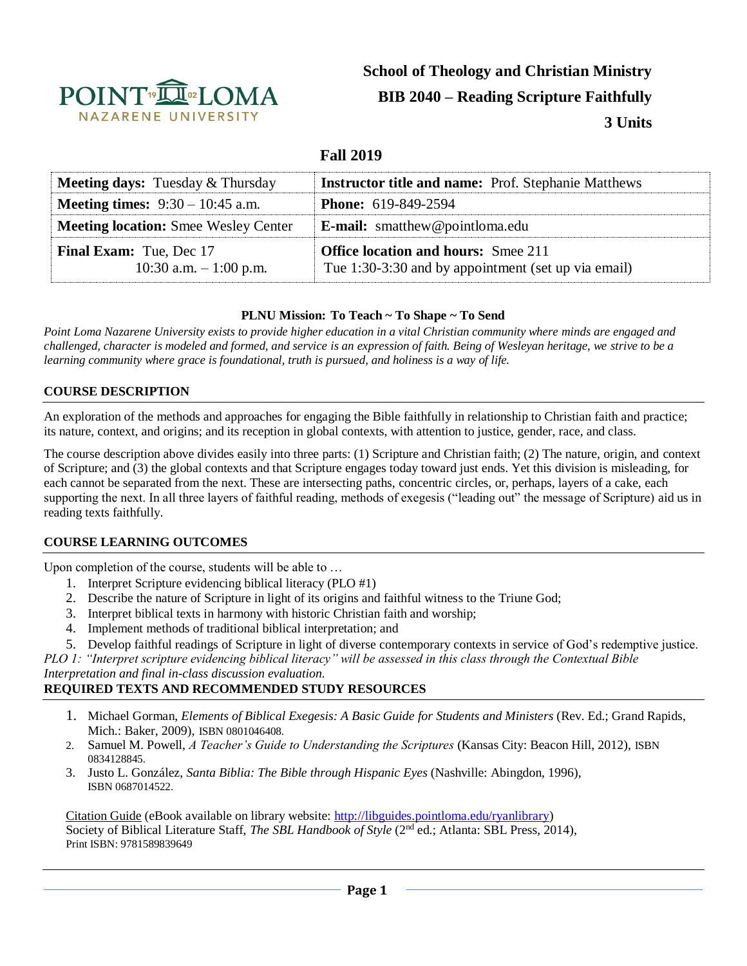

# **School of Theology and Christian Ministry BIB 2040 – Reading Scripture Faithfully 3 Units**

## **Fall 2019**

| <b>Meeting days:</b> Tuesday $\&$ Thursday                | <b>Instructor title and name:</b> Prof. Stephanie Matthews                                        |
|-----------------------------------------------------------|---------------------------------------------------------------------------------------------------|
| <b>Meeting times:</b> $9:30 - 10:45$ a.m.                 | <b>Phone:</b> 619-849-2594                                                                        |
| <b>Meeting location:</b> Smee Wesley Center               | <b>E-mail:</b> smatthew@pointloma.edu                                                             |
| <b>Final Exam:</b> Tue, Dec 17<br>10:30 a.m. $-1:00$ p.m. | <b>Office location and hours:</b> Smee 211<br>Tue 1:30-3:30 and by appointment (set up via email) |

#### **PLNU Mission: To Teach ~ To Shape ~ To Send**

*Point Loma Nazarene University exists to provide higher education in a vital Christian community where minds are engaged and challenged, character is modeled and formed, and service is an expression of faith. Being of Wesleyan heritage, we strive to be a learning community where grace is foundational, truth is pursued, and holiness is a way of life.*

#### **COURSE DESCRIPTION**

An exploration of the methods and approaches for engaging the Bible faithfully in relationship to Christian faith and practice; its nature, context, and origins; and its reception in global contexts, with attention to justice, gender, race, and class.

The course description above divides easily into three parts: (1) Scripture and Christian faith; (2) The nature, origin, and context of Scripture; and (3) the global contexts and that Scripture engages today toward just ends. Yet this division is misleading, for each cannot be separated from the next. These are intersecting paths, concentric circles, or, perhaps, layers of a cake, each supporting the next. In all three layers of faithful reading, methods of exegesis ("leading out" the message of Scripture) aid us in reading texts faithfully.

#### **COURSE LEARNING OUTCOMES**

Upon completion of the course, students will be able to …

- 1. Interpret Scripture evidencing biblical literacy (PLO #1)
- 2. Describe the nature of Scripture in light of its origins and faithful witness to the Triune God;
- 3. Interpret biblical texts in harmony with historic Christian faith and worship;
- 4. Implement methods of traditional biblical interpretation; and
- 5. Develop faithful readings of Scripture in light of diverse contemporary contexts in service of God's redemptive justice.

*PLO 1: "Interpret scripture evidencing biblical literacy" will be assessed in this class through the Contextual Bible Interpretation and final in-class discussion evaluation.*

# **REQUIRED TEXTS AND RECOMMENDED STUDY RESOURCES**

- 1. Michael Gorman, *Elements of Biblical Exegesis: A Basic Guide for Students and Ministers* (Rev. Ed.; Grand Rapids, Mich.: Baker, 2009), ISBN 0801046408.
- 2. Samuel M. Powell, *A Teacher's Guide to Understanding the Scriptures* (Kansas City: Beacon Hill, 2012), ISBN 0834128845.
- 3. Justo L. González, *Santa Biblia: The Bible through Hispanic Eyes* (Nashville: Abingdon, 1996), ISBN 0687014522.

Citation Guide (eBook available on library website: [http://libguides.pointloma.edu/ryanlibrary\)](http://libguides.pointloma.edu/ryanlibrary) Society of Biblical Literature Staff, *The SBL Handbook of Style* (2nd ed.; Atlanta: SBL Press, 2014), Print ISBN: 9781589839649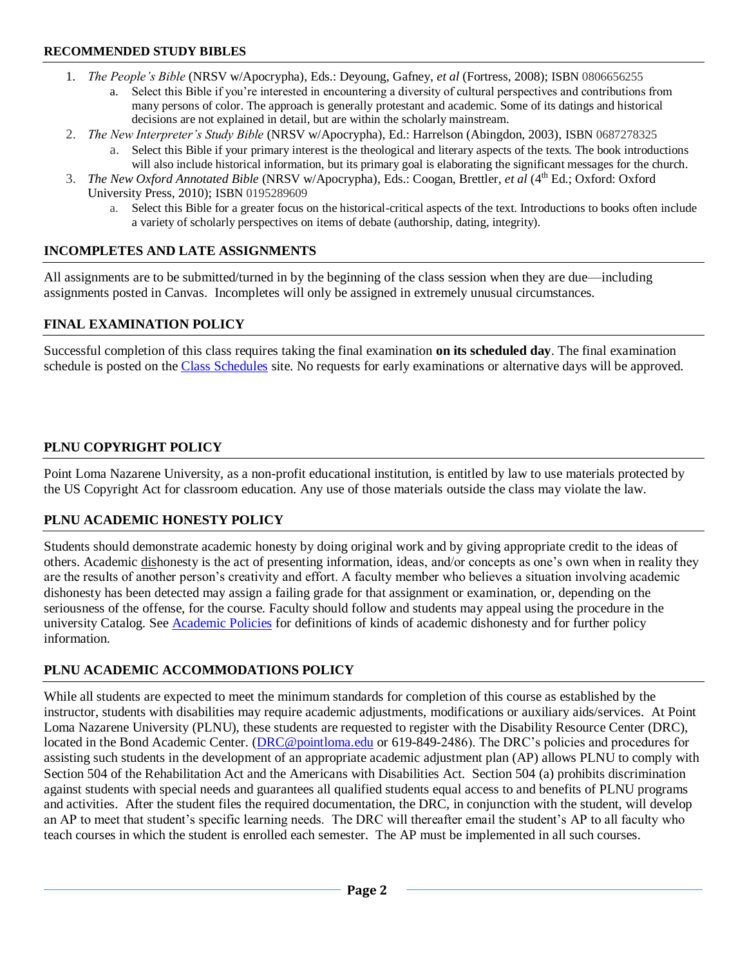## **RECOMMENDED STUDY BIBLES**

- 1. *The People's Bible* (NRSV w/Apocrypha), Eds.: Deyoung, Gafney, *et al* (Fortress, 2008); ISBN 0806656255
	- Select this Bible if you're interested in encountering a diversity of cultural perspectives and contributions from many persons of color. The approach is generally protestant and academic. Some of its datings and historical decisions are not explained in detail, but are within the scholarly mainstream.
- 2. *The New Interpreter's Study Bible* (NRSV w/Apocrypha), Ed.: Harrelson (Abingdon, 2003), ISBN 0687278325
	- a. Select this Bible if your primary interest is the theological and literary aspects of the texts. The book introductions will also include historical information, but its primary goal is elaborating the significant messages for the church.
- 3. *The New Oxford Annotated Bible* (NRSV w/Apocrypha), Eds.: Coogan, Brettler, *et al* (4th Ed.; Oxford: Oxford University Press, 2010); ISBN 0195289609
	- a. Select this Bible for a greater focus on the historical-critical aspects of the text. Introductions to books often include a variety of scholarly perspectives on items of debate (authorship, dating, integrity).

## **INCOMPLETES AND LATE ASSIGNMENTS**

All assignments are to be submitted/turned in by the beginning of the class session when they are due—including assignments posted in Canvas. Incompletes will only be assigned in extremely unusual circumstances.

## **FINAL EXAMINATION POLICY**

Successful completion of this class requires taking the final examination **on its scheduled day**. The final examination schedule is posted on th[e Class Schedules](http://www.pointloma.edu/experience/academics/class-schedules) site. No requests for early examinations or alternative days will be approved.

## **PLNU COPYRIGHT POLICY**

Point Loma Nazarene University, as a non-profit educational institution, is entitled by law to use materials protected by the US Copyright Act for classroom education. Any use of those materials outside the class may violate the law.

## **PLNU ACADEMIC HONESTY POLICY**

Students should demonstrate academic honesty by doing original work and by giving appropriate credit to the ideas of others. Academic dishonesty is the act of presenting information, ideas, and/or concepts as one's own when in reality they are the results of another person's creativity and effort. A faculty member who believes a situation involving academic dishonesty has been detected may assign a failing grade for that assignment or examination, or, depending on the seriousness of the offense, for the course. Faculty should follow and students may appeal using the procedure in the university Catalog. See **Academic Policies** for definitions of kinds of academic dishonesty and for further policy information.

# **PLNU ACADEMIC ACCOMMODATIONS POLICY**

While all students are expected to meet the minimum standards for completion of this course as established by the instructor, students with disabilities may require academic adjustments, modifications or auxiliary aids/services. At Point Loma Nazarene University (PLNU), these students are requested to register with the Disability Resource Center (DRC), located in the Bond Academic Center. [\(DRC@pointloma.edu](mailto:DRC@pointloma.edu) or 619-849-2486). The DRC's policies and procedures for assisting such students in the development of an appropriate academic adjustment plan (AP) allows PLNU to comply with Section 504 of the Rehabilitation Act and the Americans with Disabilities Act. Section 504 (a) prohibits discrimination against students with special needs and guarantees all qualified students equal access to and benefits of PLNU programs and activities. After the student files the required documentation, the DRC, in conjunction with the student, will develop an AP to meet that student's specific learning needs. The DRC will thereafter email the student's AP to all faculty who teach courses in which the student is enrolled each semester. The AP must be implemented in all such courses.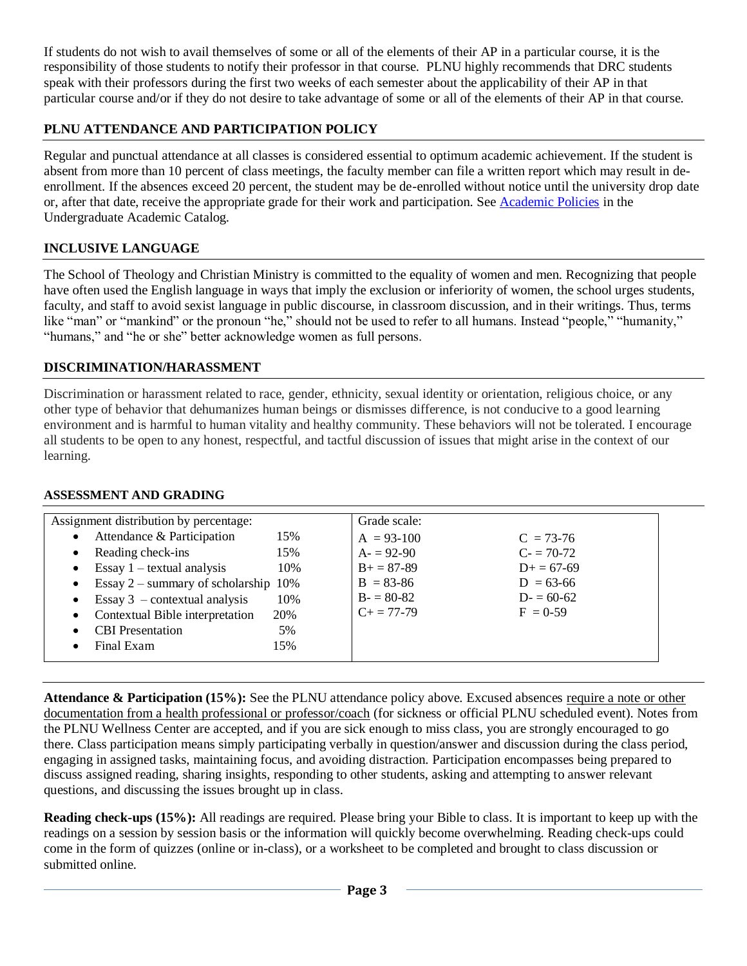If students do not wish to avail themselves of some or all of the elements of their AP in a particular course, it is the responsibility of those students to notify their professor in that course. PLNU highly recommends that DRC students speak with their professors during the first two weeks of each semester about the applicability of their AP in that particular course and/or if they do not desire to take advantage of some or all of the elements of their AP in that course.

# **PLNU ATTENDANCE AND PARTICIPATION POLICY**

Regular and punctual attendance at all classes is considered essential to optimum academic achievement. If the student is absent from more than 10 percent of class meetings, the faculty member can file a written report which may result in deenrollment. If the absences exceed 20 percent, the student may be de-enrolled without notice until the university drop date or, after that date, receive the appropriate grade for their work and participation. See [Academic Policies](http://catalog.pointloma.edu/content.php?catoid=18&navoid=1278) in the Undergraduate Academic Catalog.

## **INCLUSIVE LANGUAGE**

The School of Theology and Christian Ministry is committed to the equality of women and men. Recognizing that people have often used the English language in ways that imply the exclusion or inferiority of women, the school urges students, faculty, and staff to avoid sexist language in public discourse, in classroom discussion, and in their writings. Thus, terms like "man" or "mankind" or the pronoun "he," should not be used to refer to all humans. Instead "people," "humanity," "humans," and "he or she" better acknowledge women as full persons.

## **DISCRIMINATION/HARASSMENT**

Discrimination or harassment related to race, gender, ethnicity, sexual identity or orientation, religious choice, or any other type of behavior that dehumanizes human beings or dismisses difference, is not conducive to a good learning environment and is harmful to human vitality and healthy community. These behaviors will not be tolerated. I encourage all students to be open to any honest, respectful, and tactful discussion of issues that might arise in the context of our learning.

| Assignment distribution by percentage:           | Grade scale:    |                 |  |  |
|--------------------------------------------------|-----------------|-----------------|--|--|
| Attendance & Participation<br>15%<br>$\bullet$   | $A = 93-100$    | $C = 73-76$     |  |  |
| Reading check-ins<br>15%<br>٠                    | $A = 92-90$     | $C = 70-72$     |  |  |
| Essay $1 -$ textual analysis<br>10%<br>$\bullet$ | $B+=87-89$      | $D_{+} = 67-69$ |  |  |
| Essay $2$ – summary of scholarship 10%           | $B = 83 - 86$   | $D = 63-66$     |  |  |
| Essay $3$ – contextual analysis<br>10%           | $B = 80-82$     | $D = 60-62$     |  |  |
| Contextual Bible interpretation<br>20%           | $C_{+} = 77-79$ | $F = 0.59$      |  |  |
| <b>CBI</b> Presentation<br>5%                    |                 |                 |  |  |
| Final Exam<br>15%                                |                 |                 |  |  |

#### **ASSESSMENT AND GRADING**

**Attendance & Participation (15%):** See the PLNU attendance policy above. Excused absences require a note or other documentation from a health professional or professor/coach (for sickness or official PLNU scheduled event). Notes from the PLNU Wellness Center are accepted, and if you are sick enough to miss class, you are strongly encouraged to go there. Class participation means simply participating verbally in question/answer and discussion during the class period, engaging in assigned tasks, maintaining focus, and avoiding distraction. Participation encompasses being prepared to discuss assigned reading, sharing insights, responding to other students, asking and attempting to answer relevant questions, and discussing the issues brought up in class.

**Reading check-ups (15%):** All readings are required. Please bring your Bible to class. It is important to keep up with the readings on a session by session basis or the information will quickly become overwhelming. Reading check-ups could come in the form of quizzes (online or in-class), or a worksheet to be completed and brought to class discussion or submitted online.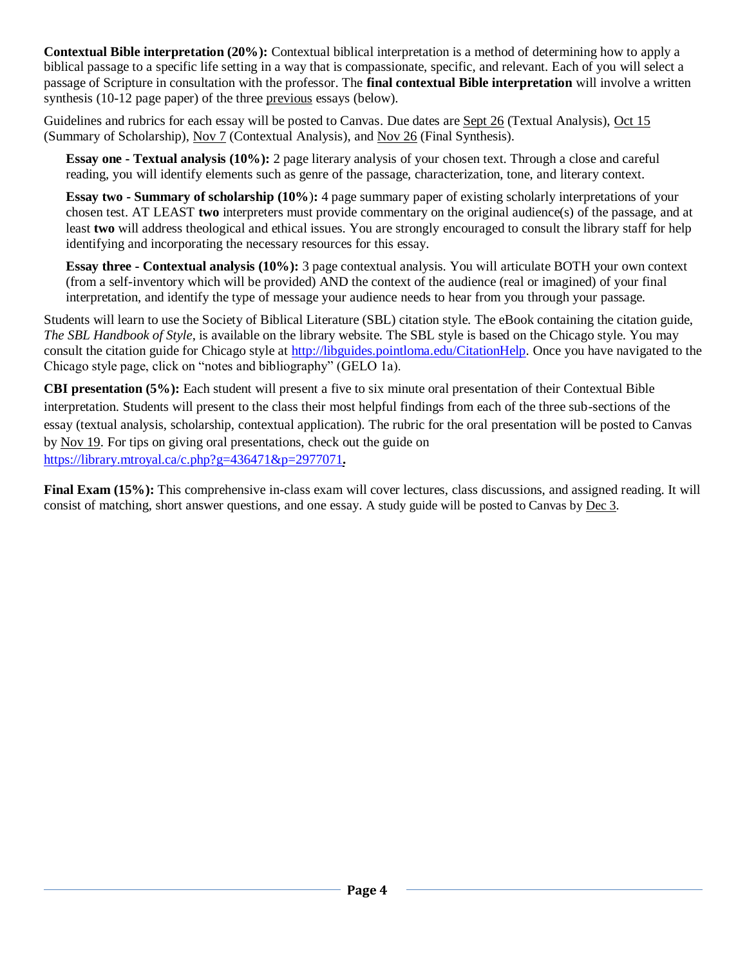**Contextual Bible interpretation (20%):** Contextual biblical interpretation is a method of determining how to apply a biblical passage to a specific life setting in a way that is compassionate, specific, and relevant. Each of you will select a passage of Scripture in consultation with the professor. The **final contextual Bible interpretation** will involve a written synthesis (10-12 page paper) of the three previous essays (below).

Guidelines and rubrics for each essay will be posted to Canvas. Due dates are Sept 26 (Textual Analysis), Oct 15 (Summary of Scholarship), Nov 7 (Contextual Analysis), and Nov 26 (Final Synthesis).

**Essay one - Textual analysis (10%):** 2 page literary analysis of your chosen text. Through a close and careful reading, you will identify elements such as genre of the passage, characterization, tone, and literary context.

**Essay two - Summary of scholarship (10%**)**:** 4 page summary paper of existing scholarly interpretations of your chosen test. AT LEAST **two** interpreters must provide commentary on the original audience(s) of the passage, and at least **two** will address theological and ethical issues. You are strongly encouraged to consult the library staff for help identifying and incorporating the necessary resources for this essay.

**Essay three - Contextual analysis (10%):** 3 page contextual analysis. You will articulate BOTH your own context (from a self-inventory which will be provided) AND the context of the audience (real or imagined) of your final interpretation, and identify the type of message your audience needs to hear from you through your passage.

Students will learn to use the Society of Biblical Literature (SBL) citation style. The eBook containing the citation guide, *The SBL Handbook of Style*, is available on the library website. The SBL style is based on the Chicago style. You may consult the citation guide for Chicago style at [http://libguides.pointloma.edu/CitationHelp.](http://libguides.pointloma.edu/CitationHelp) Once you have navigated to the Chicago style page, click on "notes and bibliography" (GELO 1a).

**CBI presentation (5%):** Each student will present a five to six minute oral presentation of their Contextual Bible interpretation. Students will present to the class their most helpful findings from each of the three sub-sections of the essay (textual analysis, scholarship, contextual application). The rubric for the oral presentation will be posted to Canvas by Nov 19. For tips on giving oral presentations, check out the guide on <https://library.mtroyal.ca/c.php?g=436471&p=2977071>**.**

**Final Exam (15%):** This comprehensive in-class exam will cover lectures, class discussions, and assigned reading. It will consist of matching, short answer questions, and one essay. A study guide will be posted to Canvas by Dec 3.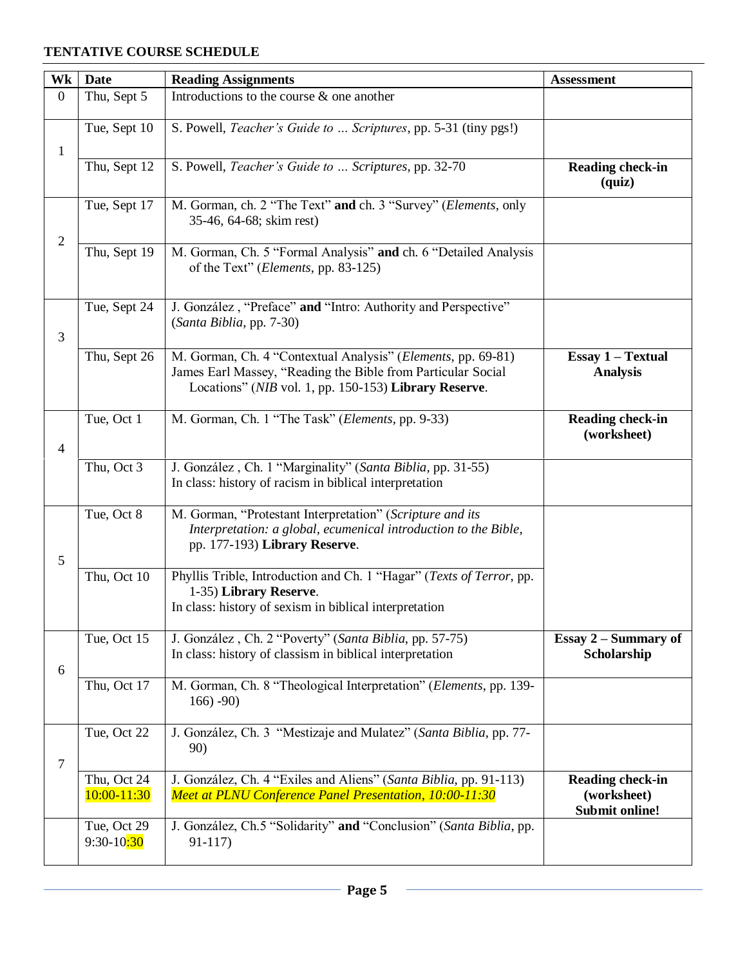#### **TENTATIVE COURSE SCHEDULE**

| Wk             | <b>Date</b>                 | <b>Reading Assignments</b>                                                                                                                                                            | <b>Assessment</b>                                        |
|----------------|-----------------------------|---------------------------------------------------------------------------------------------------------------------------------------------------------------------------------------|----------------------------------------------------------|
| $\overline{0}$ | Thu, Sept 5                 | Introductions to the course $\&$ one another                                                                                                                                          |                                                          |
| $\mathbf{1}$   | Tue, Sept 10                | S. Powell, Teacher's Guide to  Scriptures, pp. 5-31 (tiny pgs!)                                                                                                                       |                                                          |
|                | Thu, Sept 12                | S. Powell, Teacher's Guide to  Scriptures, pp. 32-70                                                                                                                                  | <b>Reading check-in</b><br>$\left( \text{quiz} \right)$  |
|                | Tue, Sept 17                | M. Gorman, ch. 2 "The Text" and ch. 3 "Survey" (Elements, only<br>35-46, 64-68; skim rest)                                                                                            |                                                          |
| $\overline{2}$ | Thu, Sept 19                | M. Gorman, Ch. 5 "Formal Analysis" and ch. 6 "Detailed Analysis<br>of the Text" ( <i>Elements</i> , pp. 83-125)                                                                       |                                                          |
| 3              | Tue, Sept 24                | J. González, "Preface" and "Intro: Authority and Perspective"<br>(Santa Biblia, pp. 7-30)                                                                                             |                                                          |
|                | Thu, Sept 26                | M. Gorman, Ch. 4 "Contextual Analysis" (Elements, pp. 69-81)<br>James Earl Massey, "Reading the Bible from Particular Social<br>Locations" (NIB vol. 1, pp. 150-153) Library Reserve. | <b>Essay 1 - Textual</b><br><b>Analysis</b>              |
| 4              | Tue, Oct 1                  | M. Gorman, Ch. 1 "The Task" (Elements, pp. 9-33)                                                                                                                                      | <b>Reading check-in</b><br>(worksheet)                   |
|                | Thu, Oct $3$                | J. González, Ch. 1 "Marginality" (Santa Biblia, pp. 31-55)<br>In class: history of racism in biblical interpretation                                                                  |                                                          |
| 5              | Tue, Oct 8                  | M. Gorman, "Protestant Interpretation" (Scripture and its<br>Interpretation: a global, ecumenical introduction to the Bible,<br>pp. 177-193) Library Reserve.                         |                                                          |
|                | Thu, Oct 10                 | Phyllis Trible, Introduction and Ch. 1 "Hagar" (Texts of Terror, pp.<br>1-35) Library Reserve.<br>In class: history of sexism in biblical interpretation                              |                                                          |
| 6              | Tue, Oct 15                 | J. González, Ch. 2 "Poverty" (Santa Biblia, pp. 57-75)<br>In class: history of classism in biblical interpretation                                                                    | Essay $2$ – Summary of<br>Scholarship                    |
|                | Thu, Oct 17                 | M. Gorman, Ch. 8 "Theological Interpretation" (Elements, pp. 139-<br>$166) - 90$                                                                                                      |                                                          |
| 7              | Tue, Oct 22                 | J. González, Ch. 3 "Mestizaje and Mulatez" (Santa Biblia, pp. 77-<br>90)                                                                                                              |                                                          |
|                | Thu, Oct 24<br>10:00-11:30  | J. González, Ch. 4 "Exiles and Aliens" (Santa Biblia, pp. 91-113)<br>Meet at PLNU Conference Panel Presentation, 10:00-11:30                                                          | Reading check-in<br>(worksheet)<br><b>Submit online!</b> |
|                | Tue, Oct 29<br>$9:30-10:30$ | J. González, Ch.5 "Solidarity" and "Conclusion" (Santa Biblia, pp.<br>$91-117$                                                                                                        |                                                          |